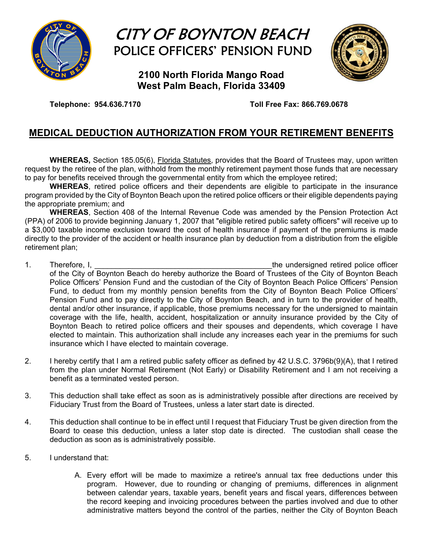

# CITY OF BOYNTON BEACH POLICE OFFICERS' PENSION FUND

**2100 North Florida Mango Road West Palm Beach, Florida 33409** 

**Telephone: 954.636.7170 Toll Free Fax: 866.769.0678** 

## **MEDICAL DEDUCTION AUTHORIZATION FROM YOUR RETIREMENT BENEFITS**

 **WHEREAS,** Section 185.05(6), Florida Statutes, provides that the Board of Trustees may, upon written request by the retiree of the plan, withhold from the monthly retirement payment those funds that are necessary to pay for benefits received through the governmental entity from which the employee retired;

**WHEREAS**, retired police officers and their dependents are eligible to participate in the insurance program provided by the City of Boynton Beach upon the retired police officers or their eligible dependents paying the appropriate premium; and

**WHEREAS**, Section 408 of the Internal Revenue Code was amended by the Pension Protection Act (PPA) of 2006 to provide beginning January 1, 2007 that "eligible retired public safety officers" will receive up to a \$3,000 taxable income exclusion toward the cost of health insurance if payment of the premiums is made directly to the provider of the accident or health insurance plan by deduction from a distribution from the eligible retirement plan;

- 1. Therefore, I, the same state of the undersigned retired police officer of the City of Boynton Beach do hereby authorize the Board of Trustees of the City of Boynton Beach Police Officers' Pension Fund and the custodian of the City of Boynton Beach Police Officers' Pension Fund, to deduct from my monthly pension benefits from the City of Boynton Beach Police Officers' Pension Fund and to pay directly to the City of Boynton Beach, and in turn to the provider of health, dental and/or other insurance, if applicable, those premiums necessary for the undersigned to maintain coverage with the life, health, accident, hospitalization or annuity insurance provided by the City of Boynton Beach to retired police officers and their spouses and dependents, which coverage I have elected to maintain. This authorization shall include any increases each year in the premiums for such insurance which I have elected to maintain coverage.
- 2. I hereby certify that I am a retired public safety officer as defined by 42 U.S.C. 3796b(9)(A), that I retired from the plan under Normal Retirement (Not Early) or Disability Retirement and I am not receiving a benefit as a terminated vested person.
- 3. This deduction shall take effect as soon as is administratively possible after directions are received by Fiduciary Trust from the Board of Trustees, unless a later start date is directed.
- 4. This deduction shall continue to be in effect until I request that Fiduciary Trust be given direction from the Board to cease this deduction, unless a later stop date is directed. The custodian shall cease the deduction as soon as is administratively possible.
- 5. I understand that:
	- A. Every effort will be made to maximize a retiree's annual tax free deductions under this program. However, due to rounding or changing of premiums, differences in alignment between calendar years, taxable years, benefit years and fiscal years, differences between the record keeping and invoicing procedures between the parties involved and due to other administrative matters beyond the control of the parties, neither the City of Boynton Beach

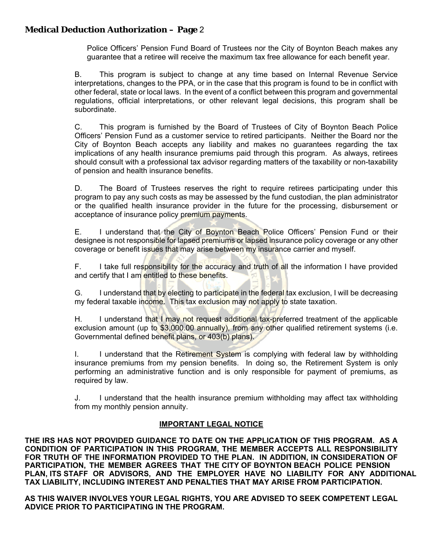## **Medical Deduction Authorization – Page** 2

Police Officers' Pension Fund Board of Trustees nor the City of Boynton Beach makes any guarantee that a retiree will receive the maximum tax free allowance for each benefit year.

B. This program is subject to change at any time based on Internal Revenue Service interpretations, changes to the PPA, or in the case that this program is found to be in conflict with other federal, state or local laws. In the event of a conflict between this program and governmental regulations, official interpretations, or other relevant legal decisions, this program shall be subordinate.

 C. This program is furnished by the Board of Trustees of City of Boynton Beach Police Officers' Pension Fund as a customer service to retired participants. Neither the Board nor the City of Boynton Beach accepts any liability and makes no guarantees regarding the tax implications of any health insurance premiums paid through this program. As always, retirees should consult with a professional tax advisor regarding matters of the taxability or non-taxability of pension and health insurance benefits.

 D. The Board of Trustees reserves the right to require retirees participating under this program to pay any such costs as may be assessed by the fund custodian, the plan administrator or the qualified health insurance provider in the future for the processing, disbursement or acceptance of insurance policy premium payments.

E. I understand that the City of Boynton Beach Police Officers' Pension Fund or their designee is not responsible for lapsed premiums or lapsed insurance policy coverage or any other coverage or benefit issues that may arise between my insurance carrier and myself.

 F. I take full responsibility for the accuracy and truth of all the information I have provided and certify that I am entitled to these benefits.

G. I understand that by electing to participate in the federal tax exclusion, I will be decreasing my federal taxable income. This tax exclusion may not apply to state taxation.

H. I understand that I may not request additional tax-preferred treatment of the applicable exclusion amount (up to \$3,000.00 annually), from any other qualified retirement systems (i.e. Governmental defined benefit plans, or 403(b) plans).

I. I understand that the Retirement System is complying with federal law by withholding insurance premiums from my pension benefits. In doing so, the Retirement System is only performing an administrative function and is only responsible for payment of premiums, as required by law.

J. I understand that the health insurance premium withholding may affect tax withholding from my monthly pension annuity.

### **IMPORTANT LEGAL NOTICE**

**THE IRS HAS NOT PROVIDED GUIDANCE TO DATE ON THE APPLICATION OF THIS PROGRAM. AS A CONDITION OF PARTICIPATION IN THIS PROGRAM, THE MEMBER ACCEPTS ALL RESPONSIBILITY FOR TRUTH OF THE INFORMATION PROVIDED TO THE PLAN. IN ADDITION, IN CONSIDERATION OF PARTICIPATION, THE MEMBER AGREES THAT THE CITY OF BOYNTON BEACH POLICE PENSION PLAN, ITS STAFF OR ADVISORS, AND THE EMPLOYER HAVE NO LIABILITY FOR ANY ADDITIONAL TAX LIABILITY, INCLUDING INTEREST AND PENALTIES THAT MAY ARISE FROM PARTICIPATION.** 

**AS THIS WAIVER INVOLVES YOUR LEGAL RIGHTS, YOU ARE ADVISED TO SEEK COMPETENT LEGAL ADVICE PRIOR TO PARTICIPATING IN THE PROGRAM.**